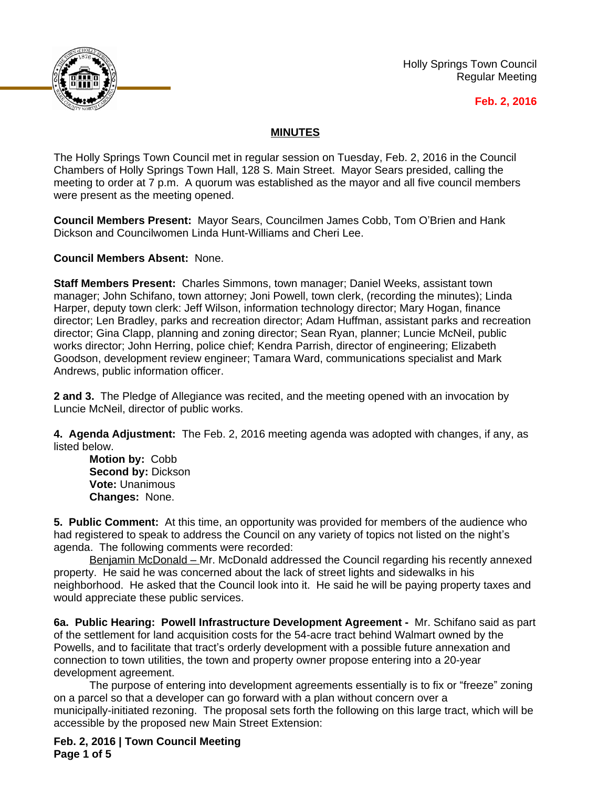

Holly Springs Town Council Regular Meeting

## **Feb. 2, 2016**

## **MINUTES**

The Holly Springs Town Council met in regular session on Tuesday, Feb. 2, 2016 in the Council Chambers of Holly Springs Town Hall, 128 S. Main Street. Mayor Sears presided, calling the meeting to order at 7 p.m. A quorum was established as the mayor and all five council members were present as the meeting opened.

**Council Members Present:** Mayor Sears, Councilmen James Cobb, Tom O'Brien and Hank Dickson and Councilwomen Linda Hunt-Williams and Cheri Lee.

**Council Members Absent:** None.

**Staff Members Present:** Charles Simmons, town manager; Daniel Weeks, assistant town manager; John Schifano, town attorney; Joni Powell, town clerk, (recording the minutes); Linda Harper, deputy town clerk: Jeff Wilson, information technology director; Mary Hogan, finance director; Len Bradley, parks and recreation director; Adam Huffman, assistant parks and recreation director; Gina Clapp, planning and zoning director; Sean Ryan, planner; Luncie McNeil, public works director; John Herring, police chief; Kendra Parrish, director of engineering; Elizabeth Goodson, development review engineer; Tamara Ward, communications specialist and Mark Andrews, public information officer.

**2 and 3.** The Pledge of Allegiance was recited, and the meeting opened with an invocation by Luncie McNeil, director of public works.

**4. Agenda Adjustment:** The Feb. 2, 2016 meeting agenda was adopted with changes, if any, as listed below.

**Motion by:** Cobb **Second by:** Dickson **Vote:** Unanimous **Changes:** None.

**5. Public Comment:** At this time, an opportunity was provided for members of the audience who had registered to speak to address the Council on any variety of topics not listed on the night's agenda. The following comments were recorded:

Benjamin McDonald – Mr. McDonald addressed the Council regarding his recently annexed property. He said he was concerned about the lack of street lights and sidewalks in his neighborhood. He asked that the Council look into it. He said he will be paying property taxes and would appreciate these public services.

**6a. Public Hearing: Powell Infrastructure Development Agreement -** Mr. Schifano said as part of the settlement for land acquisition costs for the 54-acre tract behind Walmart owned by the Powells, and to facilitate that tract's orderly development with a possible future annexation and connection to town utilities, the town and property owner propose entering into a 20-year development agreement.

The purpose of entering into development agreements essentially is to fix or "freeze" zoning on a parcel so that a developer can go forward with a plan without concern over a municipally-initiated rezoning. The proposal sets forth the following on this large tract, which will be accessible by the proposed new Main Street Extension:

**Feb. 2, 2016 | Town Council Meeting Page 1 of 5**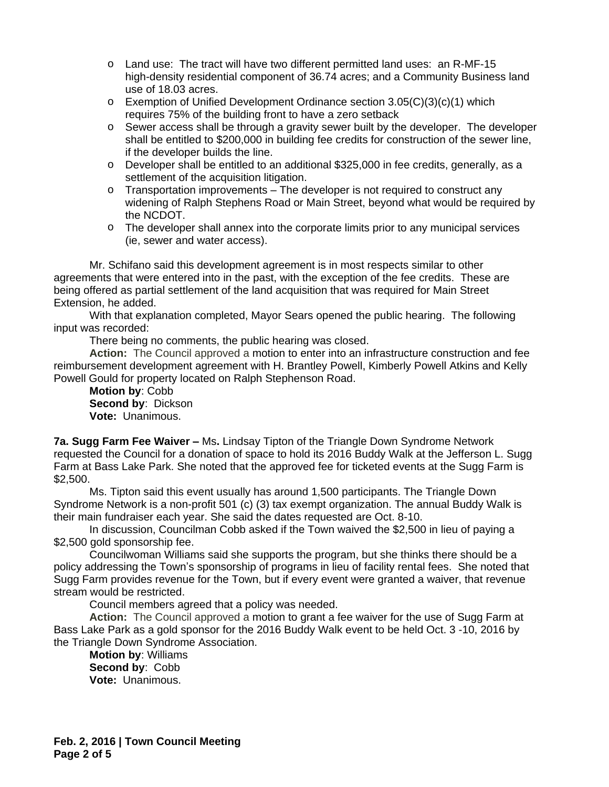- o Land use: The tract will have two different permitted land uses: an R-MF-15 high-density residential component of 36.74 acres; and a Community Business land use of 18.03 acres.
- $\circ$  Exemption of Unified Development Ordinance section 3.05(C)(3)(c)(1) which requires 75% of the building front to have a zero setback
- o Sewer access shall be through a gravity sewer built by the developer. The developer shall be entitled to \$200,000 in building fee credits for construction of the sewer line, if the developer builds the line.
- o Developer shall be entitled to an additional \$325,000 in fee credits, generally, as a settlement of the acquisition litigation.
- $\circ$  Transportation improvements The developer is not required to construct any widening of Ralph Stephens Road or Main Street, beyond what would be required by the NCDOT.
- o The developer shall annex into the corporate limits prior to any municipal services (ie, sewer and water access).

Mr. Schifano said this development agreement is in most respects similar to other agreements that were entered into in the past, with the exception of the fee credits. These are being offered as partial settlement of the land acquisition that was required for Main Street Extension, he added.

With that explanation completed, Mayor Sears opened the public hearing. The following input was recorded:

There being no comments, the public hearing was closed.

**Action:** The Council approved a motion to enter into an infrastructure construction and fee reimbursement development agreement with H. Brantley Powell, Kimberly Powell Atkins and Kelly Powell Gould for property located on Ralph Stephenson Road.

**Motion by**: Cobb **Second by**: Dickson **Vote:** Unanimous.

**7a. Sugg Farm Fee Waiver –** Ms**.** Lindsay Tipton of the Triangle Down Syndrome Network requested the Council for a donation of space to hold its 2016 Buddy Walk at the Jefferson L. Sugg Farm at Bass Lake Park. She noted that the approved fee for ticketed events at the Sugg Farm is \$2,500.

Ms. Tipton said this event usually has around 1,500 participants. The Triangle Down Syndrome Network is a non-profit 501 (c) (3) tax exempt organization. The annual Buddy Walk is their main fundraiser each year. She said the dates requested are Oct. 8-10.

In discussion, Councilman Cobb asked if the Town waived the \$2,500 in lieu of paying a \$2,500 gold sponsorship fee.

Councilwoman Williams said she supports the program, but she thinks there should be a policy addressing the Town's sponsorship of programs in lieu of facility rental fees. She noted that Sugg Farm provides revenue for the Town, but if every event were granted a waiver, that revenue stream would be restricted.

Council members agreed that a policy was needed.

**Action:** The Council approved a motion to grant a fee waiver for the use of Sugg Farm at Bass Lake Park as a gold sponsor for the 2016 Buddy Walk event to be held Oct. 3 -10, 2016 by the Triangle Down Syndrome Association.

**Motion by**: Williams **Second by**: Cobb **Vote:** Unanimous.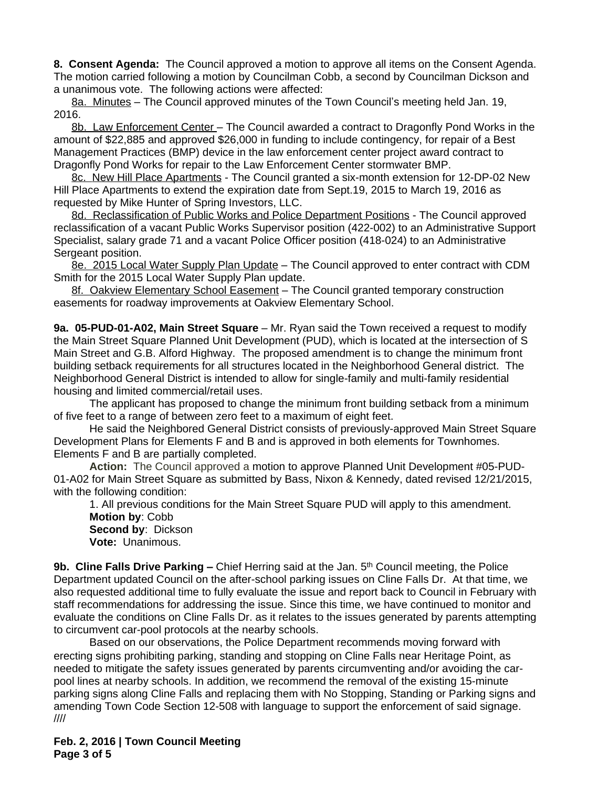**8. Consent Agenda:** The Council approved a motion to approve all items on the Consent Agenda. The motion carried following a motion by Councilman Cobb, a second by Councilman Dickson and a unanimous vote. The following actions were affected:

8a. Minutes – The Council approved minutes of the Town Council's meeting held Jan. 19, 2016.

8b. Law Enforcement Center - The Council awarded a contract to Dragonfly Pond Works in the amount of \$22,885 and approved \$26,000 in funding to include contingency, for repair of a Best Management Practices (BMP) device in the law enforcement center project award contract to Dragonfly Pond Works for repair to the Law Enforcement Center stormwater BMP.

8c. New Hill Place Apartments - The Council granted a six-month extension for 12-DP-02 New Hill Place Apartments to extend the expiration date from Sept.19, 2015 to March 19, 2016 as requested by Mike Hunter of Spring Investors, LLC.

8d. Reclassification of Public Works and Police Department Positions - The Council approved reclassification of a vacant Public Works Supervisor position (422-002) to an Administrative Support Specialist, salary grade 71 and a vacant Police Officer position (418-024) to an Administrative Sergeant position.

8e. 2015 Local Water Supply Plan Update – The Council approved to enter contract with CDM Smith for the 2015 Local Water Supply Plan update.

8f. Oakview Elementary School Easement – The Council granted temporary construction easements for roadway improvements at Oakview Elementary School.

**9a. 05-PUD-01-A02, Main Street Square** – Mr. Ryan said the Town received a request to modify the Main Street Square Planned Unit Development (PUD), which is located at the intersection of S Main Street and G.B. Alford Highway. The proposed amendment is to change the minimum front building setback requirements for all structures located in the Neighborhood General district. The Neighborhood General District is intended to allow for single-family and multi-family residential housing and limited commercial/retail uses.

The applicant has proposed to change the minimum front building setback from a minimum of five feet to a range of between zero feet to a maximum of eight feet.

He said the Neighbored General District consists of previously-approved Main Street Square Development Plans for Elements F and B and is approved in both elements for Townhomes. Elements F and B are partially completed.

**Action:** The Council approved a motion to approve Planned Unit Development #05-PUD-01-A02 for Main Street Square as submitted by Bass, Nixon & Kennedy, dated revised 12/21/2015, with the following condition:

1. All previous conditions for the Main Street Square PUD will apply to this amendment. **Motion by**: Cobb **Second by**: Dickson **Vote:** Unanimous.

**9b. Cline Falls Drive Parking –** Chief Herring said at the Jan. 5th Council meeting, the Police Department updated Council on the after-school parking issues on Cline Falls Dr. At that time, we also requested additional time to fully evaluate the issue and report back to Council in February with staff recommendations for addressing the issue. Since this time, we have continued to monitor and evaluate the conditions on Cline Falls Dr. as it relates to the issues generated by parents attempting to circumvent car-pool protocols at the nearby schools.

Based on our observations, the Police Department recommends moving forward with erecting signs prohibiting parking, standing and stopping on Cline Falls near Heritage Point, as needed to mitigate the safety issues generated by parents circumventing and/or avoiding the carpool lines at nearby schools. In addition, we recommend the removal of the existing 15-minute parking signs along Cline Falls and replacing them with No Stopping, Standing or Parking signs and amending Town Code Section 12-508 with language to support the enforcement of said signage. ////

**Feb. 2, 2016 | Town Council Meeting Page 3 of 5**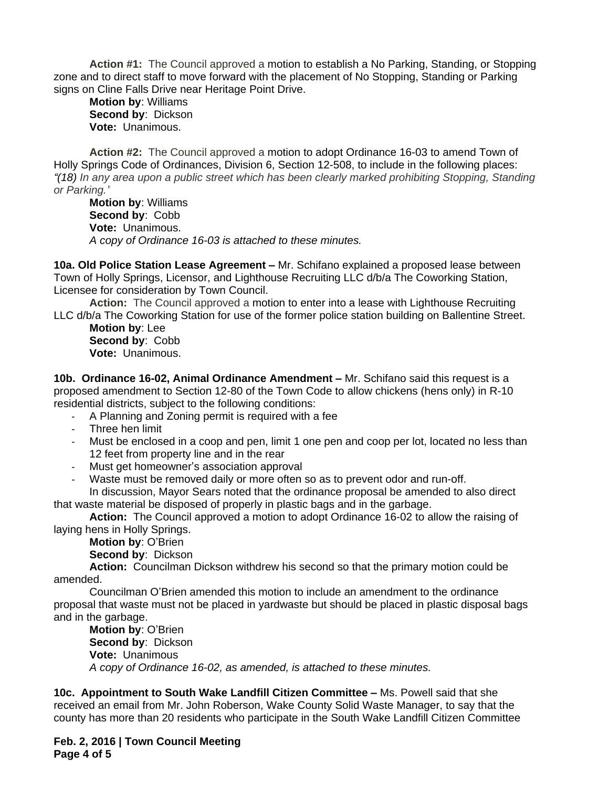**Action #1:** The Council approved a motion to establish a No Parking, Standing, or Stopping zone and to direct staff to move forward with the placement of No Stopping, Standing or Parking signs on Cline Falls Drive near Heritage Point Drive.

**Motion by**: Williams **Second by**: Dickson **Vote:** Unanimous.

**Action #2:** The Council approved a motion to adopt Ordinance 16-03 to amend Town of Holly Springs Code of Ordinances, Division 6, Section 12-508, to include in the following places: *"(18) In any area upon a public street which has been clearly marked prohibiting Stopping, Standing or Parking."*

**Motion by**: Williams **Second by**: Cobb **Vote:** Unanimous. *A copy of Ordinance 16-03 is attached to these minutes.*

**10a. Old Police Station Lease Agreement –** Mr. Schifano explained a proposed lease between Town of Holly Springs, Licensor, and Lighthouse Recruiting LLC d/b/a The Coworking Station, Licensee for consideration by Town Council.

**Action:** The Council approved a motion to enter into a lease with Lighthouse Recruiting LLC d/b/a The Coworking Station for use of the former police station building on Ballentine Street.

**Motion by**: Lee **Second by**: Cobb **Vote:** Unanimous.

**10b. Ordinance 16-02, Animal Ordinance Amendment –** Mr. Schifano said this request is a proposed amendment to Section 12-80 of the Town Code to allow chickens (hens only) in R-10 residential districts, subject to the following conditions:

- A Planning and Zoning permit is required with a fee
- Three hen limit
- Must be enclosed in a coop and pen, limit 1 one pen and coop per lot, located no less than 12 feet from property line and in the rear
- Must get homeowner's association approval
- Waste must be removed daily or more often so as to prevent odor and run-off.

In discussion, Mayor Sears noted that the ordinance proposal be amended to also direct that waste material be disposed of properly in plastic bags and in the garbage.

**Action:** The Council approved a motion to adopt Ordinance 16-02 to allow the raising of laying hens in Holly Springs.

**Motion by**: O'Brien **Second by**: Dickson

**Action:** Councilman Dickson withdrew his second so that the primary motion could be amended.

Councilman O'Brien amended this motion to include an amendment to the ordinance proposal that waste must not be placed in yardwaste but should be placed in plastic disposal bags and in the garbage.

**Motion by**: O'Brien **Second by**: Dickson **Vote:** Unanimous *A copy of Ordinance 16-02, as amended, is attached to these minutes.*

**10c. Appointment to South Wake Landfill Citizen Committee –** Ms. Powell said that she received an email from Mr. John Roberson, Wake County Solid Waste Manager, to say that the county has more than 20 residents who participate in the South Wake Landfill Citizen Committee

**Feb. 2, 2016 | Town Council Meeting Page 4 of 5**